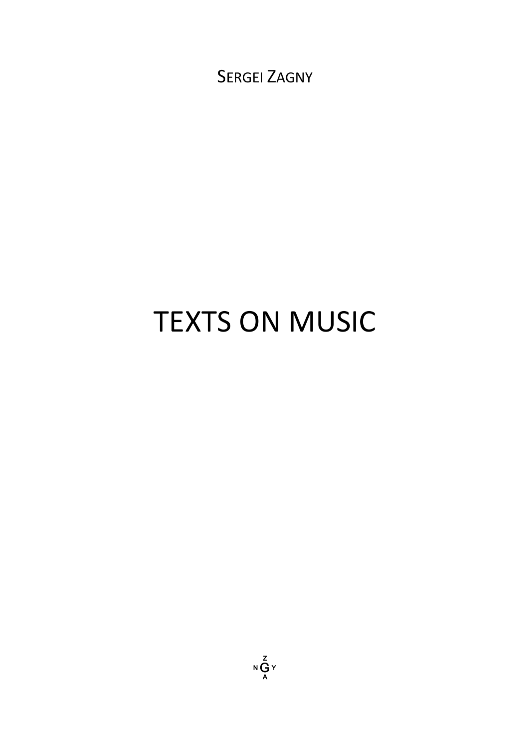SERGEI ZAGNY

# TEXTS ON MUSIC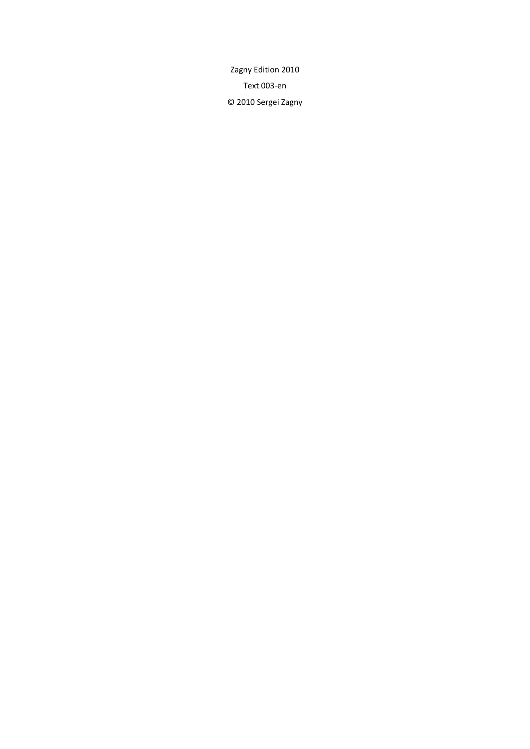Zagny Edition 2010 Text 003‐en © 2010 Sergei Zagny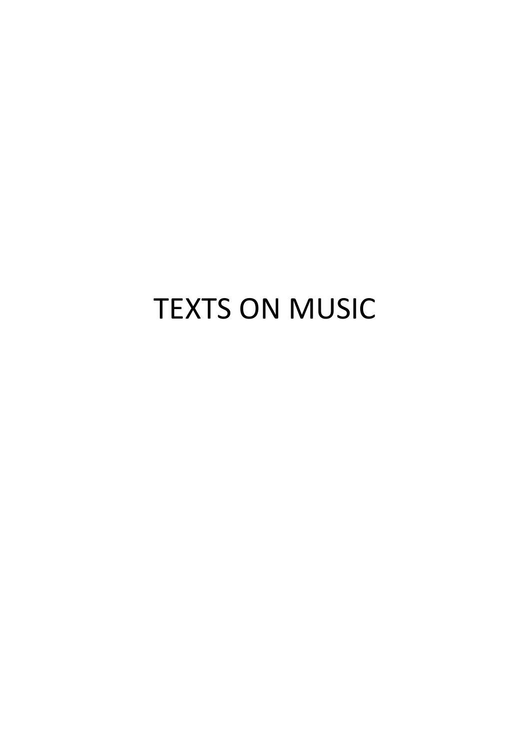## TEXTS ON MUSIC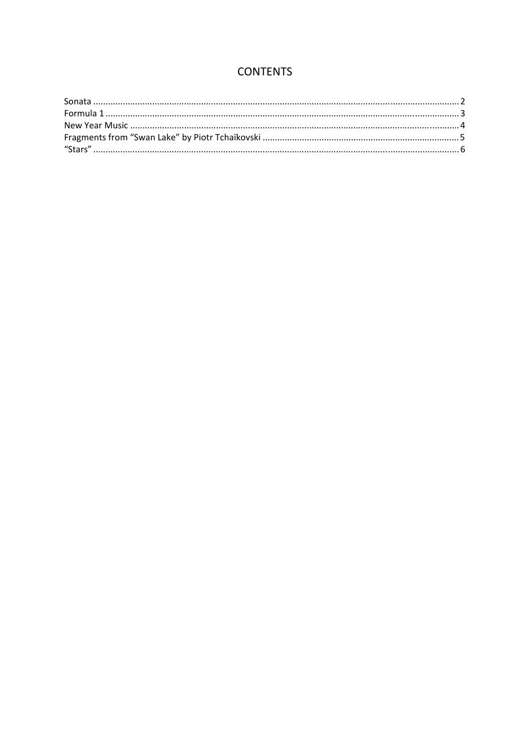## **CONTENTS**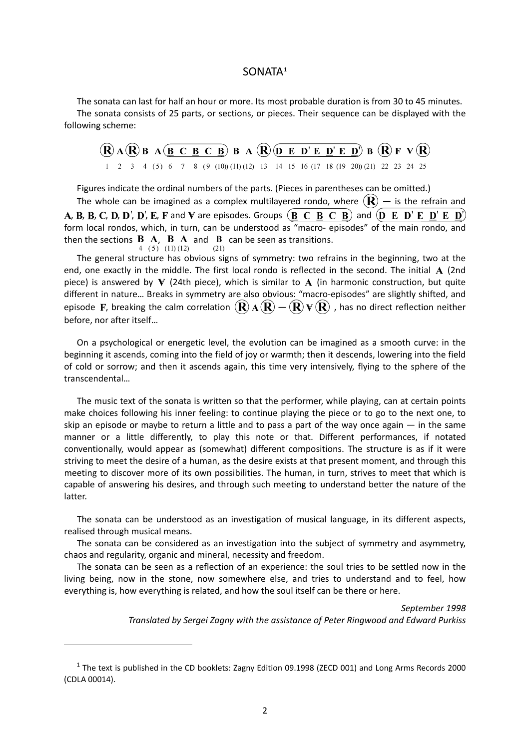#### SONATA[1](#page-5-1)

<span id="page-5-0"></span>The sonata can last for half an hour or more. Its most probable duration is from 30 to 45 minutes. The sonata consists of 25 parts, or sections, or pieces. Their sequence can be displayed with the following scheme:

$$
\begin{array}{ccccccccc}\n\textcircled{R} & A & \textcircled{R} & B & A & \textcircled{B} & B & A & \textcircled{R} & \textcircled{D} & E & D' & E & D' & E & D' & B & \textcircled{R} & F & V & \textcircled{R} \\
1 & 2 & 3 & 4 & (5) & 6 & 7 & 8 & (9 & (10) & (11) & (12) & 13 & 14 & 15 & 16 & (17 & 18 & (19 & 20) & (21) & 22 & 23 & 24 & 25\n\end{array}
$$

Figures indicate the ordinal numbers of the parts. (Pieces in parentheses can be omitted.)

The whole can be imagined as a complex multilayered rondo, where  $(\mathbf{R})$  – is the refrain and **A, B, B, C, D, D', D', E, F** and V are episodes. Groups  $(\overline{B} \ C \ B \ C \ B)$  and  $(\overline{D} \ E \ D' \ E \ D')$ form local rondos, which, in turn, can be understood as "macro‐ episodes" of the main rondo, and then the sections **B A**, **B A** and **B** can be seen as transitions.

The general structure has obvious signs of symmetry: two refrains in the beginning, two at the end, one exactly in the middle. The first local rondo is reflected in the second. The initial  $\bf{A}$  (2nd piece) is answered by  $\nabla$  (24th piece), which is similar to  $\bf{A}$  (in harmonic construction, but quite different in nature… Breaks in symmetry are also obvious: "macro‐episodes" are slightly shifted, and episode F, breaking the calm correlation  $(\mathbf{R}) \mathbf{A}(\mathbf{R}) - (\mathbf{R}) \mathbf{V}(\mathbf{R})$  , has no direct reflection neither before, nor after itself…

On a psychological or energetic level, the evolution can be imagined as a smooth curve: in the beginning it ascends, coming into the field of joy or warmth; then it descends, lowering into the field of cold or sorrow; and then it ascends again, this time very intensively, flying to the sphere of the transcendental…

The music text of the sonata is written so that the performer, while playing, can at certain points make choices following his inner feeling: to continue playing the piece or to go to the next one, to skip an episode or maybe to return a little and to pass a part of the way once again  $-$  in the same manner or a little differently, to play this note or that. Different performances, if notated conventionally, would appear as (somewhat) different compositions. The structure is as if it were striving to meet the desire of a human, as the desire exists at that present moment, and through this meeting to discover more of its own possibilities. The human, in turn, strives to meet that which is capable of answering his desires, and through such meeting to understand better the nature of the latter.

The sonata can be understood as an investigation of musical language, in its different aspects, realised through musical means.

The sonata can be considered as an investigation into the subject of symmetry and asymmetry, chaos and regularity, organic and mineral, necessity and freedom.

The sonata can be seen as a reflection of an experience: the soul tries to be settled now in the living being, now in the stone, now somewhere else, and tries to understand and to feel, how everything is, how everything is related, and how the soul itself can be there or here.

*September 1998*

*Translated by Sergei Zagny with the assistance of Peter Ringwood and Edward Purkiss*

<span id="page-5-1"></span><sup>1</sup> The text is published in the CD booklets: Zagny Edition 09.1998 (ZECD 001) and Long Arms Records 2000 (CDLA 00014).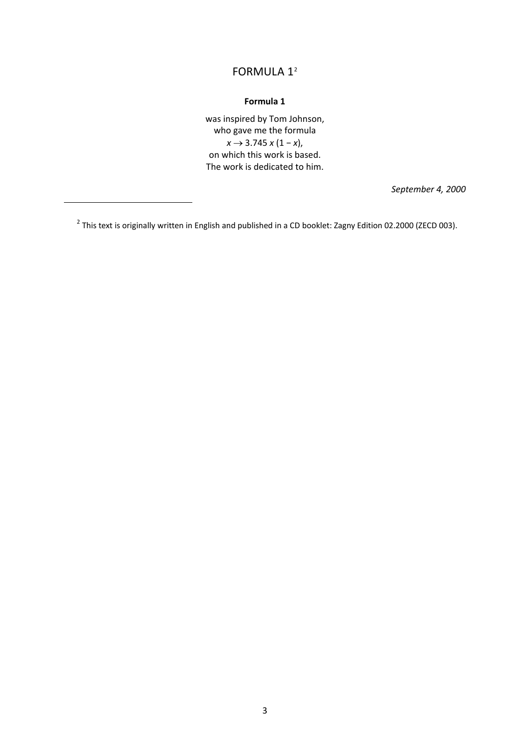## FORMULA 1<sup>[2](#page-6-1)</sup>

#### **Formula 1**

was inspired by Tom Johnson, who gave me the formula *x* → 3.745 *x* (1 − *x*), on which this work is based. The work is dedicated to him.

*September 4, 2000*

<span id="page-6-1"></span><span id="page-6-0"></span> $2$  This text is originally written in English and published in a CD booklet: Zagny Edition 02.2000 (ZECD 003).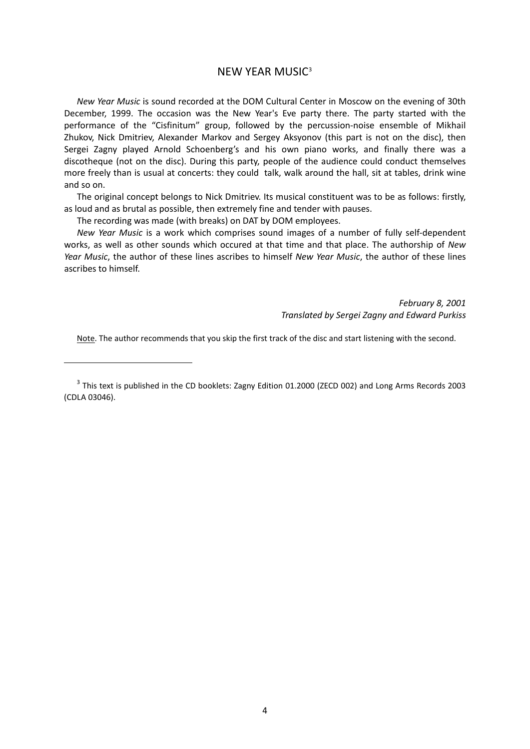### NEW YEAR MUSIC<sup>[3](#page-7-1)</sup>

<span id="page-7-0"></span>*New Year Music* is sound recorded at the DOM Cultural Center in Moscow on the evening of 30th December, 1999. The occasion was the New Year's Eve party there. The party started with the performance of the "Cisfinitum" group, followed by the percussion-noise ensemble of Mikhail Zhukov, Nick Dmitriev, Alexander Markov and Sergey Aksyonov (this part is not on the disc), then Sergei Zagny played Arnold Schoenberg's and his own piano works, and finally there was a discotheque (not on the disc). During this party, people of the audience could conduct themselves more freely than is usual at concerts: they could talk, walk around the hall, sit at tables, drink wine and so on.

The original concept belongs to Nick Dmitriev. Its musical constituent was to be as follows: firstly, as loud and as brutal as possible, then extremely fine and tender with pauses.

The recording was made (with breaks) on DAT by DOM employees.

*New Year Music* is a work which comprises sound images of a number of fully self‐dependent works, as well as other sounds which occured at that time and that place. The authorship of *New Year Music*, the author of these lines ascribes to himself *New Year Music*, the author of these lines ascribes to himself.

> *February 8, 2001 Translated by Sergei Zagny and Edward Purkiss*

Note. The author recommends that you skip the first track of the disc and start listening with the second.

<span id="page-7-1"></span><sup>&</sup>lt;sup>3</sup> This text is published in the CD booklets: Zagny Edition 01.2000 (ZECD 002) and Long Arms Records 2003 (CDLA 03046).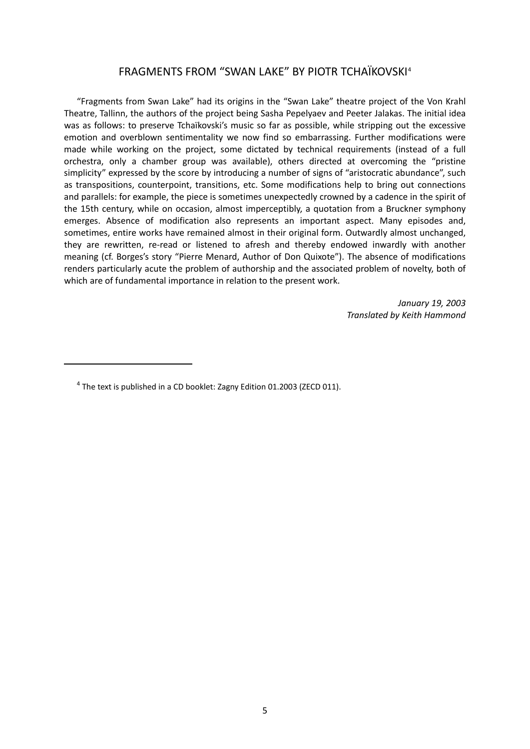### FRAGMENTS FROM "SWAN LAKE" BY PIOTR TCHAÏKOVSKI[4](#page-8-1)

<span id="page-8-0"></span>"Fragments from Swan Lake" had its origins in the "Swan Lake" theatre project of the Von Krahl Theatre, Tallinn, the authors of the project being Sasha Pepelyaev and Peeter Jalakas. The initial idea was as follows: to preserve Tchaïkovski's music so far as possible, while stripping out the excessive emotion and overblown sentimentality we now find so embarrassing. Further modifications were made while working on the project, some dictated by technical requirements (instead of a full orchestra, only a chamber group was available), others directed at overcoming the "pristine simplicity" expressed by the score by introducing a number of signs of "aristocratic abundance", such as transpositions, counterpoint, transitions, etc. Some modifications help to bring out connections and parallels: for example, the piece is sometimes unexpectedly crowned by a cadence in the spirit of the 15th century, while on occasion, almost imperceptibly, a quotation from a Bruckner symphony emerges. Absence of modification also represents an important aspect. Many episodes and, sometimes, entire works have remained almost in their original form. Outwardly almost unchanged, they are rewritten, re-read or listened to afresh and thereby endowed inwardly with another meaning (cf. Borges's story "Pierre Menard, Author of Don Quixote"). The absence of modifications renders particularly acute the problem of authorship and the associated problem of novelty, both of which are of fundamental importance in relation to the present work.

> *January 19, 2003 Translated by Keith Hammond*

<span id="page-8-1"></span> $4$  The text is published in a CD booklet: Zagny Edition 01.2003 (ZECD 011).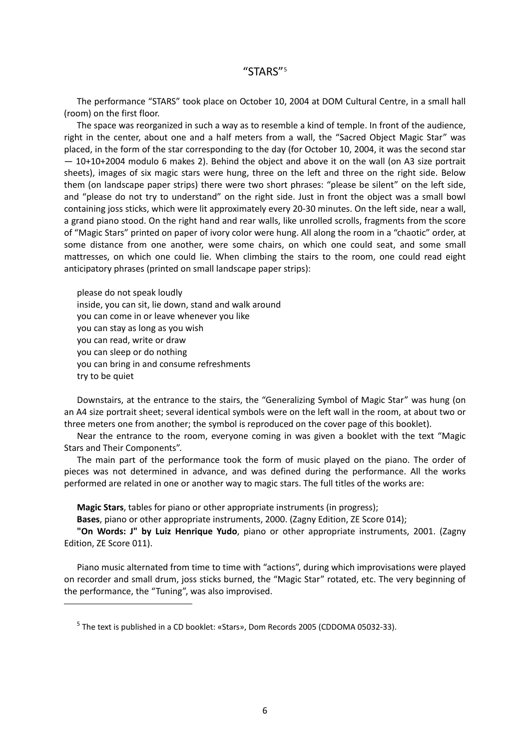<span id="page-9-0"></span>The performance "STARS" took place on October 10, 2004 at DOM Cultural Centre, in a small hall (room) on the first floor.

The space was reorganized in such a way as to resemble a kind of temple. In front of the audience, right in the center, about one and a half meters from a wall, the "Sacred Object Magic Star" was placed, in the form of the star corresponding to the day (for October 10, 2004, it was the second star — 10+10+2004 modulo 6 makes 2). Behind the object and above it on the wall (on A3 size portrait sheets), images of six magic stars were hung, three on the left and three on the right side. Below them (on landscape paper strips) there were two short phrases: "please be silent" on the left side, and "please do not try to understand" on the right side. Just in front the object was a small bowl containing joss sticks, which were lit approximately every 20‐30 minutes. On the left side, near a wall, a grand piano stood. On the right hand and rear walls, like unrolled scrolls, fragments from the score of "Magic Stars" printed on paper of ivory color were hung. All along the room in a "chaotic" order, at some distance from one another, were some chairs, on which one could seat, and some small mattresses, on which one could lie. When climbing the stairs to the room, one could read eight anticipatory phrases (printed on small landscape paper strips):

please do not speak loudly inside, you can sit, lie down, stand and walk around you can come in or leave whenever you like you can stay as long as you wish you can read, write or draw you can sleep or do nothing you can bring in and consume refreshments try to be quiet

<span id="page-9-1"></span>

Downstairs, at the entrance to the stairs, the "Generalizing Symbol of Magic Star" was hung (on an A4 size portrait sheet; several identical symbols were on the left wall in the room, at about two or three meters one from another; the symbol is reproduced on the cover page of this booklet).

Near the entrance to the room, everyone coming in was given a booklet with the text "Magic Stars and Their Components".

The main part of the performance took the form of music played on the piano. The order of pieces was not determined in advance, and was defined during the performance. All the works performed are related in one or another way to magic stars. The full titles of the works are:

**Magic Stars**, tables for piano or other appropriate instruments (in progress);

**Bases**, piano or other appropriate instruments, 2000. (Zagny Edition, ZE Score 014);

**"On Words: J" by Luiz Henrique Yudo**, piano or other appropriate instruments, 2001. (Zagny Edition, ZE Score 011).

Piano music alternated from time to time with "actions", during which improvisations were played on recorder and small drum, joss sticks burned, the "Magic Star" rotated, etc. The very beginning of the performance, the "Tuning", was also improvised.

<sup>5</sup> The text is published in a CD booklet: «Stars», Dom Records 2005 (CDDOMA 05032‐33).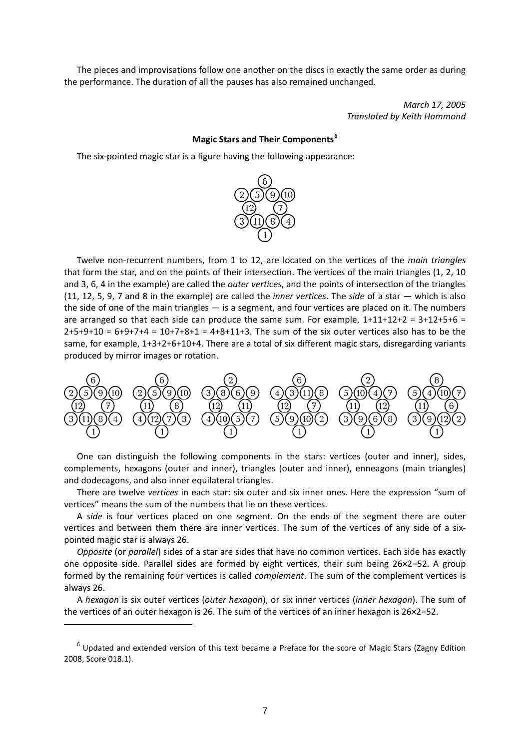The pieces and improvisations follow one another on the discs in exactly the same order as during the performance. The duration of all the pauses has also remained unchanged.

> *March 17, 2005 Translated by Keith Hammond*

#### **Magic Stars and Their Components[6](#page-10-0)**

The six‐pointed magic star is a figure having the following appearance:



Twelve non‐recurrent numbers, from 1 to 12, are located on the vertices of the *main triangles* that form the star, and on the points of their intersection. The vertices of the main triangles (1, 2, 10 and 3, 6, 4 in the example) are called the *outer vertices*, and the points of intersection of the triangles (11, 12, 5, 9, 7 and 8 in the example) are called the *inner vertices*. The *side* of a star — which is also the side of one of the main triangles — is a segment, and four vertices are placed on it. The numbers are arranged so that each side can produce the same sum. For example,  $1+11+12+2 = 3+12+5+6 =$  $2+5+9+10 = 6+9+7+4 = 10+7+8+1 = 4+8+11+3$ . The sum of the six outer vertices also has to be the same, for example, 1+3+2+6+10+4. There are a total of six different magic stars, disregarding variants produced by mirror images or rotation.



One can distinguish the following components in the stars: vertices (outer and inner), sides, complements, hexagons (outer and inner), triangles (outer and inner), enneagons (main triangles) and dodecagons, and also inner equilateral triangles.

There are twelve *vertices* in each star: six outer and six inner ones. Here the expression "sum of vertices" means the sum of the numbers that lie on these vertices.

A *side* is four vertices placed on one segment. On the ends of the segment there are outer vertices and between them there are inner vertices. The sum of the vertices of any side of a sixpointed magic star is always 26.

*Opposite* (or *parallel*) sides of a star are sides that have no common vertices. Each side has exactly one opposite side. Parallel sides are formed by eight vertices, their sum being 26×2=52. A group formed by the remaining four vertices is called *complement*. The sum of the complement vertices is always 26.

A *hexagon* is six outer vertices (*outer hexagon*), or six inner vertices (*inner hexagon*). The sum of the vertices of an outer hexagon is 26. The sum of the vertices of an inner hexagon is 26×2=52.

<span id="page-10-0"></span> $6$  Updated and extended version of this text became a Preface for the score of Magic Stars (Zagny Edition 2008, Score 018.1).